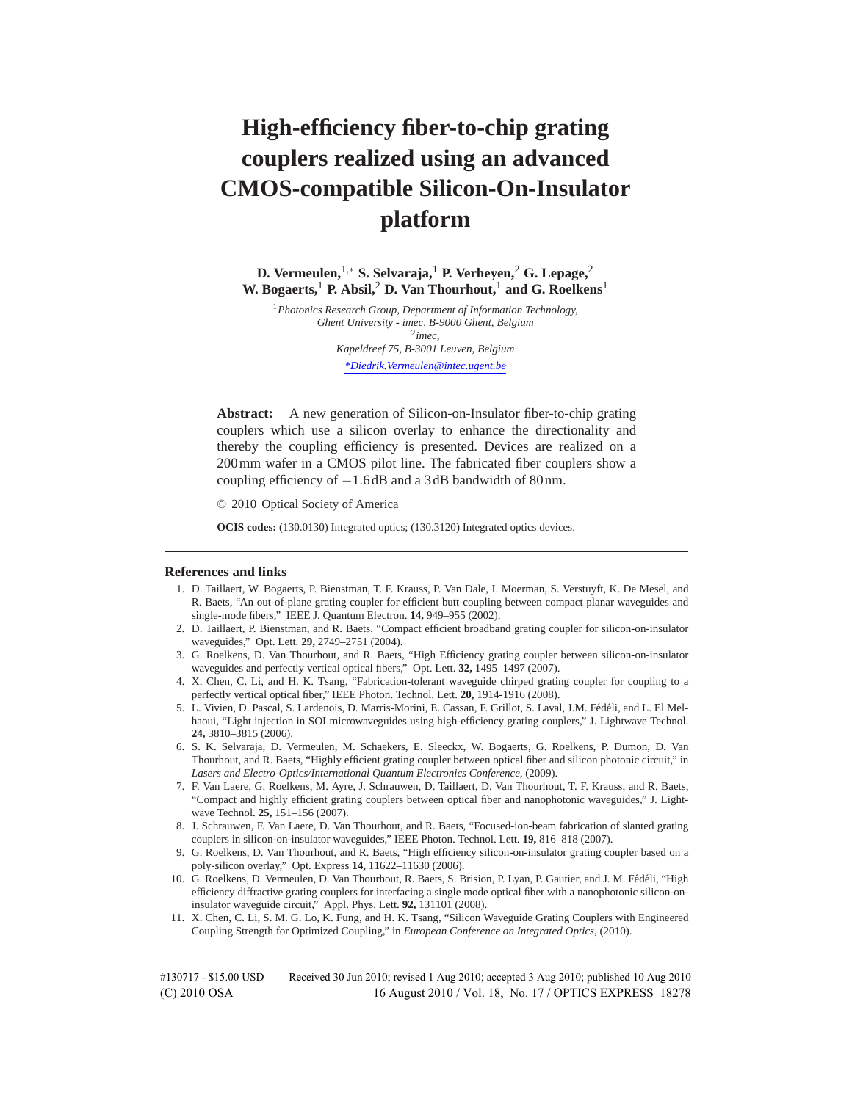# **High-efficiency fiber-to-chip grating couplers realized using an advanced CMOS-compatible Silicon-On-Insulator platform**

**D. Vermeulen,**1*,*<sup>∗</sup> **S. Selvaraja,**<sup>1</sup> **P. Verheyen,**<sup>2</sup> **G. Lepage,**<sup>2</sup> **W. Bogaerts,**<sup>1</sup> **P. Absil,**<sup>2</sup> **D. Van Thourhout,**<sup>1</sup> **and G. Roelkens**<sup>1</sup>

<sup>1</sup>*Photonics Research Group, Department of Information Technology, Ghent University - imec, B-9000 Ghent, Belgium* <sup>2</sup>*imec, Kapeldreef 75, B-3001 Leuven, Belgium \*Diedrik.Vermeulen@intec.ugent.be*

**Abstract:** A new generation of Silicon-on-Insulator fiber-to-chip grating couplers which use a silicon overlay to enhance the directionality and thereby the coupling efficiency is presented. Devices are realized on a 200mm wafer in a CMOS pilot line. The fabricated fiber couplers show a coupling efficiency of −1*.*6 dB and a 3 dB bandwidth of 80 nm.

© 2010 Optical Society of America

**OCIS codes:** (130.0130) Integrated optics; (130.3120) Integrated optics devices.

#### **References and links**

- 1. D. Taillaert, W. Bogaerts, P. Bienstman, T. F. Krauss, P. Van Dale, I. Moerman, S. Verstuyft, K. De Mesel, and R. Baets, "An out-of-plane grating coupler for efficient butt-coupling between compact planar waveguides and single-mode fibers," IEEE J. Quantum Electron. **14,** 949–955 (2002).
- 2. D. Taillaert, P. Bienstman, and R. Baets, "Compact efficient broadband grating coupler for silicon-on-insulator waveguides," Opt. Lett. **29,** 2749–2751 (2004).
- 3. G. Roelkens, D. Van Thourhout, and R. Baets, "High Efficiency grating coupler between silicon-on-insulator waveguides and perfectly vertical optical fibers," Opt. Lett. **32,** 1495–1497 (2007).
- 4. X. Chen, C. Li, and H. K. Tsang, "Fabrication-tolerant waveguide chirped grating coupler for coupling to a perfectly vertical optical fiber," IEEE Photon. Technol. Lett. **20,** 1914-1916 (2008).
- 5. L. Vivien, D. Pascal, S. Lardenois, D. Marris-Morini, E. Cassan, F. Grillot, S. Laval, J.M. Fédéli, and L. El Melhaoui, "Light injection in SOI microwaveguides using high-efficiency grating couplers," J. Lightwave Technol. **24,** 3810–3815 (2006).
- 6. S. K. Selvaraja, D. Vermeulen, M. Schaekers, E. Sleeckx, W. Bogaerts, G. Roelkens, P. Dumon, D. Van Thourhout, and R. Baets, "Highly efficient grating coupler between optical fiber and silicon photonic circuit," in *Lasers and Electro-Optics/International Quantum Electronics Conference,* (2009).
- 7. F. Van Laere, G. Roelkens, M. Ayre, J. Schrauwen, D. Taillaert, D. Van Thourhout, T. F. Krauss, and R. Baets, "Compact and highly efficient grating couplers between optical fiber and nanophotonic waveguides," J. Lightwave Technol. **25,** 151–156 (2007).
- 8. J. Schrauwen, F. Van Laere, D. Van Thourhout, and R. Baets, "Focused-ion-beam fabrication of slanted grating couplers in silicon-on-insulator waveguides," IEEE Photon. Technol. Lett. **19,** 816–818 (2007).
- 9. G. Roelkens, D. Van Thourhout, and R. Baets, "High efficiency silicon-on-insulator grating coupler based on a poly-silicon overlay," Opt. Express **14,** 11622–11630 (2006).
- 10. G. Roelkens, D. Vermeulen, D. Van Thourhout, R. Baets, S. Brision, P. Lyan, P. Gautier, and J. M. Fédéli, "High efficiency diffractive grating couplers for interfacing a single mode optical fiber with a nanophotonic silicon-oninsulator waveguide circuit," Appl. Phys. Lett. **92,** 131101 (2008).
- 11. X. Chen, C. Li, S. M. G. Lo, K. Fung, and H. K. Tsang, "Silicon Waveguide Grating Couplers with Engineered Coupling Strength for Optimized Coupling," in *European Conference on Integrated Optics,* (2010).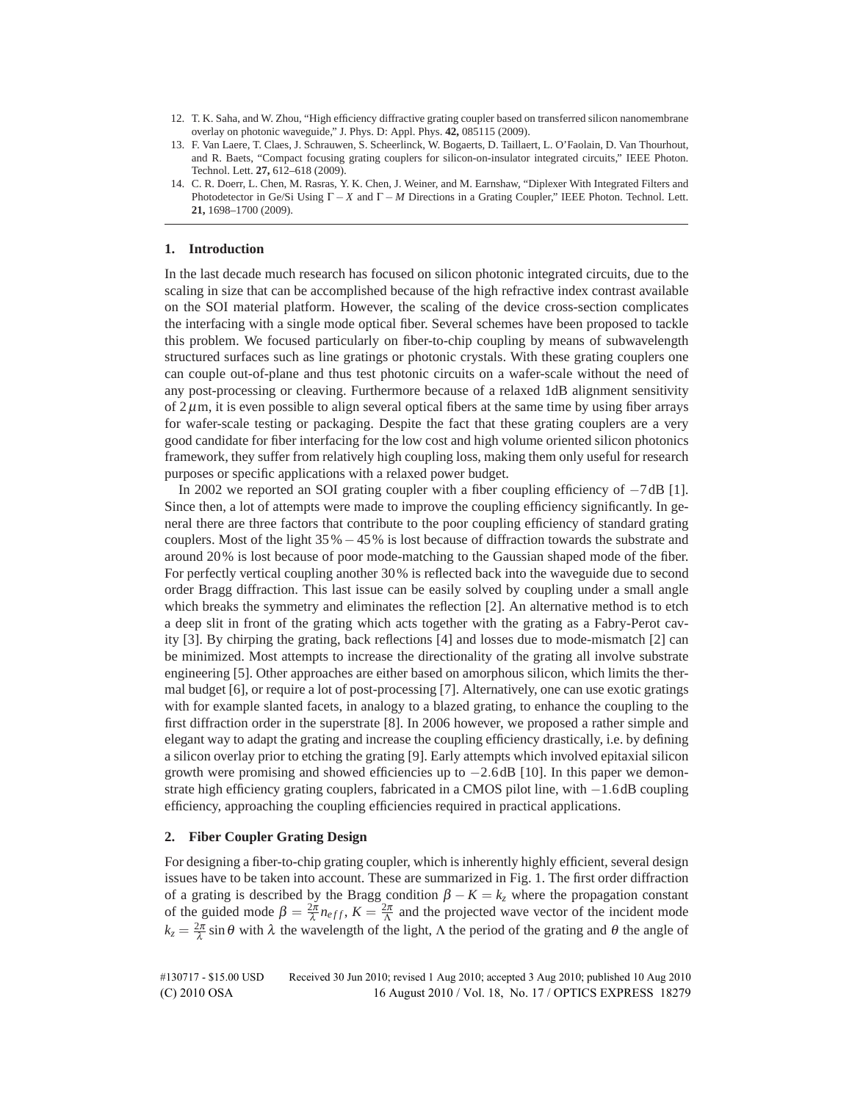- 12. T. K. Saha, and W. Zhou, "High efficiency diffractive grating coupler based on transferred silicon nanomembrane overlay on photonic waveguide," J. Phys. D: Appl. Phys. **42,** 085115 (2009).
- 13. F. Van Laere, T. Claes, J. Schrauwen, S. Scheerlinck, W. Bogaerts, D. Taillaert, L. O'Faolain, D. Van Thourhout, and R. Baets, "Compact focusing grating couplers for silicon-on-insulator integrated circuits," IEEE Photon. Technol. Lett. **27,** 612–618 (2009).
- 14. C. R. Doerr, L. Chen, M. Rasras, Y. K. Chen, J. Weiner, and M. Earnshaw, "Diplexer With Integrated Filters and Photodetector in Ge/Si Using Γ − *X* and Γ − *M* Directions in a Grating Coupler," IEEE Photon. Technol. Lett. **21,** 1698–1700 (2009).

#### **1. Introduction**

In the last decade much research has focused on silicon photonic integrated circuits, due to the scaling in size that can be accomplished because of the high refractive index contrast available on the SOI material platform. However, the scaling of the device cross-section complicates the interfacing with a single mode optical fiber. Several schemes have been proposed to tackle this problem. We focused particularly on fiber-to-chip coupling by means of subwavelength structured surfaces such as line gratings or photonic crystals. With these grating couplers one can couple out-of-plane and thus test photonic circuits on a wafer-scale without the need of any post-processing or cleaving. Furthermore because of a relaxed 1dB alignment sensitivity of  $2\mu$ m, it is even possible to align several optical fibers at the same time by using fiber arrays for wafer-scale testing or packaging. Despite the fact that these grating couplers are a very good candidate for fiber interfacing for the low cost and high volume oriented silicon photonics framework, they suffer from relatively high coupling loss, making them only useful for research purposes or specific applications with a relaxed power budget.

In 2002 we reported an SOI grating coupler with a fiber coupling efficiency of −7 dB [1]. Since then, a lot of attempts were made to improve the coupling efficiency significantly. In general there are three factors that contribute to the poor coupling efficiency of standard grating couplers. Most of the light  $35\% - 45\%$  is lost because of diffraction towards the substrate and around 20% is lost because of poor mode-matching to the Gaussian shaped mode of the fiber. For perfectly vertical coupling another 30% is reflected back into the waveguide due to second order Bragg diffraction. This last issue can be easily solved by coupling under a small angle which breaks the symmetry and eliminates the reflection [2]. An alternative method is to etch a deep slit in front of the grating which acts together with the grating as a Fabry-Perot cavity [3]. By chirping the grating, back reflections [4] and losses due to mode-mismatch [2] can be minimized. Most attempts to increase the directionality of the grating all involve substrate engineering [5]. Other approaches are either based on amorphous silicon, which limits the thermal budget [6], or require a lot of post-processing [7]. Alternatively, one can use exotic gratings with for example slanted facets, in analogy to a blazed grating, to enhance the coupling to the first diffraction order in the superstrate [8]. In 2006 however, we proposed a rather simple and elegant way to adapt the grating and increase the coupling efficiency drastically, i.e. by defining a silicon overlay prior to etching the grating [9]. Early attempts which involved epitaxial silicon growth were promising and showed efficiencies up to −2*.*6 dB [10]. In this paper we demonstrate high efficiency grating couplers, fabricated in a CMOS pilot line, with −1*.*6 dB coupling efficiency, approaching the coupling efficiencies required in practical applications.

## **2. Fiber Coupler Grating Design**

For designing a fiber-to-chip grating coupler, which is inherently highly efficient, several design issues have to be taken into account. These are summarized in Fig. 1. The first order diffraction of a grating is described by the Bragg condition  $\beta - K = k_z$  where the propagation constant of the guided mode  $\beta = \frac{2\pi}{\lambda} n_{eff}$ ,  $K = \frac{2\pi}{\Lambda}$  and the projected wave vector of the incident mode  $k_z = \frac{2\pi}{\lambda} \sin \theta$  with  $\lambda$  the wavelength of the light,  $\Lambda$  the period of the grating and  $\theta$  the angle of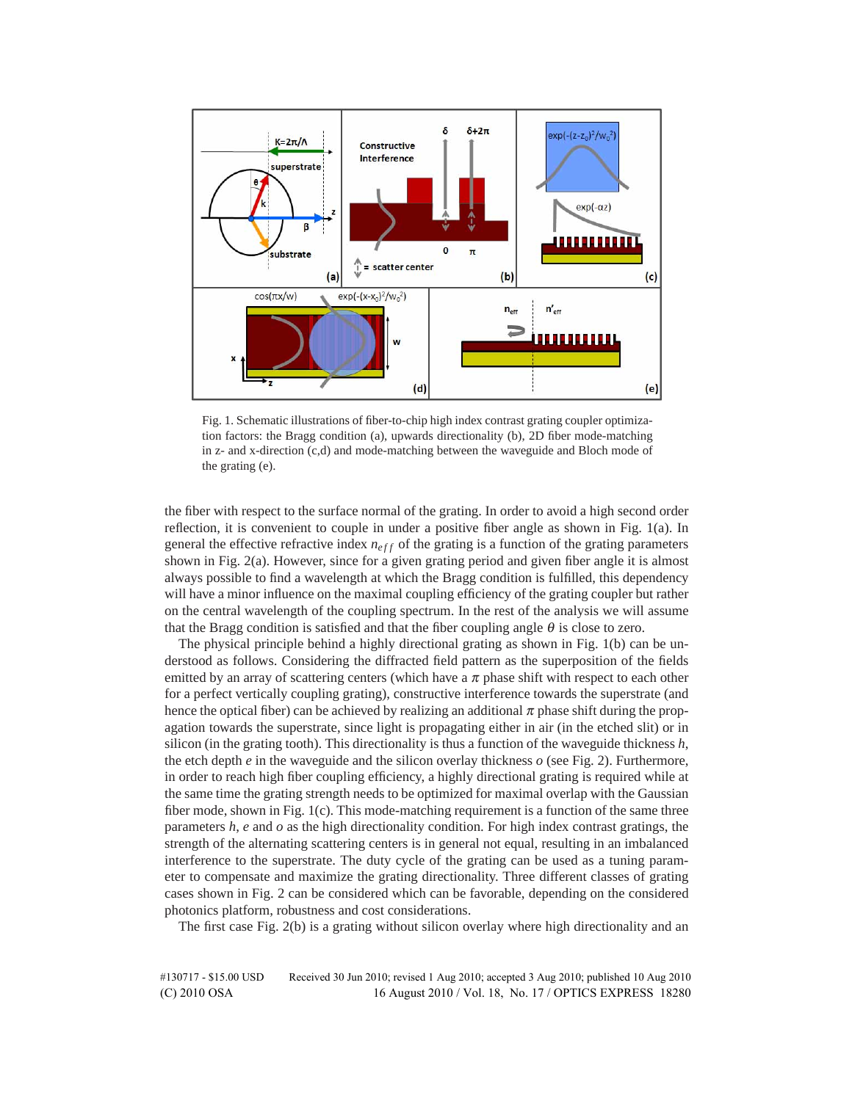

Fig. 1. Schematic illustrations of fiber-to-chip high index contrast grating coupler optimization factors: the Bragg condition (a), upwards directionality (b), 2D fiber mode-matching in z- and x-direction (c,d) and mode-matching between the waveguide and Bloch mode of the grating (e).

the fiber with respect to the surface normal of the grating. In order to avoid a high second order reflection, it is convenient to couple in under a positive fiber angle as shown in Fig. 1(a). In general the effective refractive index  $n_{eff}$  of the grating is a function of the grating parameters shown in Fig. 2(a). However, since for a given grating period and given fiber angle it is almost always possible to find a wavelength at which the Bragg condition is fulfilled, this dependency will have a minor influence on the maximal coupling efficiency of the grating coupler but rather on the central wavelength of the coupling spectrum. In the rest of the analysis we will assume that the Bragg condition is satisfied and that the fiber coupling angle  $\theta$  is close to zero.

The physical principle behind a highly directional grating as shown in Fig. 1(b) can be understood as follows. Considering the diffracted field pattern as the superposition of the fields emitted by an array of scattering centers (which have a  $\pi$  phase shift with respect to each other for a perfect vertically coupling grating), constructive interference towards the superstrate (and hence the optical fiber) can be achieved by realizing an additional  $\pi$  phase shift during the propagation towards the superstrate, since light is propagating either in air (in the etched slit) or in silicon (in the grating tooth). This directionality is thus a function of the waveguide thickness *h*, the etch depth *e* in the waveguide and the silicon overlay thickness *o* (see Fig. 2). Furthermore, in order to reach high fiber coupling efficiency, a highly directional grating is required while at the same time the grating strength needs to be optimized for maximal overlap with the Gaussian fiber mode, shown in Fig. 1(c). This mode-matching requirement is a function of the same three parameters  $h$ ,  $e$  and  $o$  as the high directionality condition. For high index contrast gratings, the strength of the alternating scattering centers is in general not equal, resulting in an imbalanced interference to the superstrate. The duty cycle of the grating can be used as a tuning parameter to compensate and maximize the grating directionality. Three different classes of grating cases shown in Fig. 2 can be considered which can be favorable, depending on the considered photonics platform, robustness and cost considerations.

The first case Fig. 2(b) is a grating without silicon overlay where high directionality and an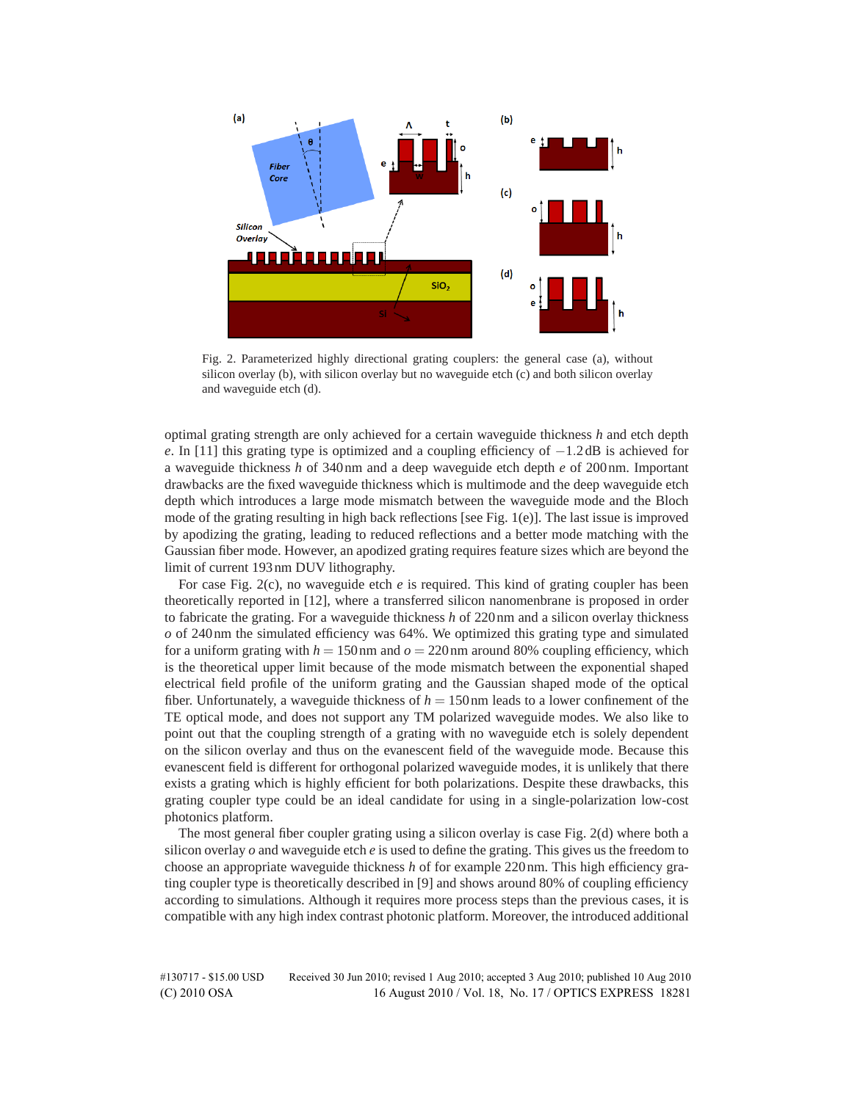

Fig. 2. Parameterized highly directional grating couplers: the general case (a), without silicon overlay (b), with silicon overlay but no waveguide etch (c) and both silicon overlay and waveguide etch (d).

optimal grating strength are only achieved for a certain waveguide thickness *h* and etch depth *e*. In [11] this grating type is optimized and a coupling efficiency of −1.2 dB is achieved for a waveguide thickness *h* of 340 nm and a deep waveguide etch depth *e* of 200 nm. Important drawbacks are the fixed waveguide thickness which is multimode and the deep waveguide etch depth which introduces a large mode mismatch between the waveguide mode and the Bloch mode of the grating resulting in high back reflections [see Fig. 1(e)]. The last issue is improved by apodizing the grating, leading to reduced reflections and a better mode matching with the Gaussian fiber mode. However, an apodized grating requires feature sizes which are beyond the limit of current 193 nm DUV lithography.

For case Fig. 2(c), no waveguide etch *e* is required. This kind of grating coupler has been theoretically reported in [12], where a transferred silicon nanomenbrane is proposed in order to fabricate the grating. For a waveguide thickness *h* of 220 nm and a silicon overlay thickness *o* of 240 nm the simulated efficiency was 64%. We optimized this grating type and simulated for a uniform grating with  $h = 150$  nm and  $o = 220$  nm around 80% coupling efficiency, which is the theoretical upper limit because of the mode mismatch between the exponential shaped electrical field profile of the uniform grating and the Gaussian shaped mode of the optical fiber. Unfortunately, a waveguide thickness of  $h = 150$  nm leads to a lower confinement of the TE optical mode, and does not support any TM polarized waveguide modes. We also like to point out that the coupling strength of a grating with no waveguide etch is solely dependent on the silicon overlay and thus on the evanescent field of the waveguide mode. Because this evanescent field is different for orthogonal polarized waveguide modes, it is unlikely that there exists a grating which is highly efficient for both polarizations. Despite these drawbacks, this grating coupler type could be an ideal candidate for using in a single-polarization low-cost photonics platform.

The most general fiber coupler grating using a silicon overlay is case Fig. 2(d) where both a silicon overlay *o* and waveguide etch *e* is used to define the grating. This gives us the freedom to choose an appropriate waveguide thickness *h* of for example 220 nm. This high efficiency grating coupler type is theoretically described in [9] and shows around 80% of coupling efficiency according to simulations. Although it requires more process steps than the previous cases, it is compatible with any high index contrast photonic platform. Moreover, the introduced additional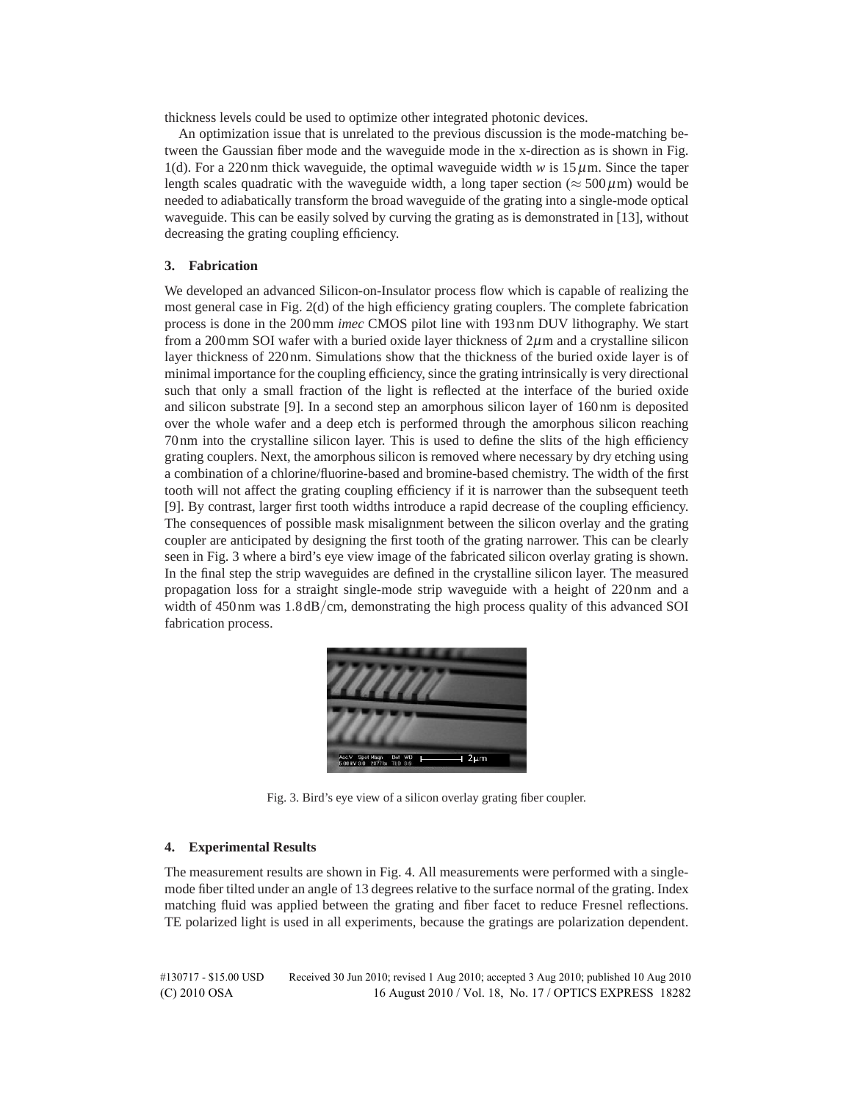thickness levels could be used to optimize other integrated photonic devices.

An optimization issue that is unrelated to the previous discussion is the mode-matching between the Gaussian fiber mode and the waveguide mode in the x-direction as is shown in Fig. 1(d). For a 220 nm thick waveguide, the optimal waveguide width  $w$  is 15  $\mu$ m. Since the taper length scales quadratic with the waveguide width, a long taper section ( $\approx$  500  $\mu$ m) would be needed to adiabatically transform the broad waveguide of the grating into a single-mode optical waveguide. This can be easily solved by curving the grating as is demonstrated in [13], without decreasing the grating coupling efficiency.

## **3. Fabrication**

We developed an advanced Silicon-on-Insulator process flow which is capable of realizing the most general case in Fig. 2(d) of the high efficiency grating couplers. The complete fabrication process is done in the 200mm *imec* CMOS pilot line with 193 nm DUV lithography. We start from a 200 mm SOI wafer with a buried oxide layer thickness of  $2\mu$ m and a crystalline silicon layer thickness of 220 nm. Simulations show that the thickness of the buried oxide layer is of minimal importance for the coupling efficiency, since the grating intrinsically is very directional such that only a small fraction of the light is reflected at the interface of the buried oxide and silicon substrate [9]. In a second step an amorphous silicon layer of 160 nm is deposited over the whole wafer and a deep etch is performed through the amorphous silicon reaching 70 nm into the crystalline silicon layer. This is used to define the slits of the high efficiency grating couplers. Next, the amorphous silicon is removed where necessary by dry etching using a combination of a chlorine/fluorine-based and bromine-based chemistry. The width of the first tooth will not affect the grating coupling efficiency if it is narrower than the subsequent teeth [9]. By contrast, larger first tooth widths introduce a rapid decrease of the coupling efficiency. The consequences of possible mask misalignment between the silicon overlay and the grating coupler are anticipated by designing the first tooth of the grating narrower. This can be clearly seen in Fig. 3 where a bird's eye view image of the fabricated silicon overlay grating is shown. In the final step the strip waveguides are defined in the crystalline silicon layer. The measured propagation loss for a straight single-mode strip waveguide with a height of 220 nm and a width of 450 nm was  $1.8 \text{ dB/cm}$ , demonstrating the high process quality of this advanced SOI fabrication process.



Fig. 3. Bird's eye view of a silicon overlay grating fiber coupler.

## **4. Experimental Results**

The measurement results are shown in Fig. 4. All measurements were performed with a singlemode fiber tilted under an angle of 13 degrees relative to the surface normal of the grating. Index matching fluid was applied between the grating and fiber facet to reduce Fresnel reflections. TE polarized light is used in all experiments, because the gratings are polarization dependent.